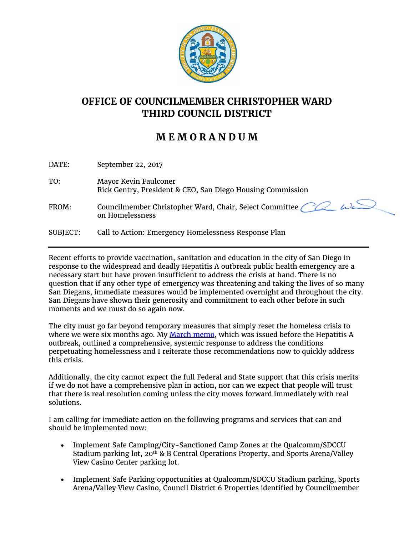

## **OFFICE OF COUNCILMEMBER CHRISTOPHER WARD THIRD COUNCIL DISTRICT**

## **M E M O R A N D U M**

| DATE:           | September 22, 2017                                                                         |
|-----------------|--------------------------------------------------------------------------------------------|
| TO:             | Mayor Kevin Faulconer<br>Rick Gentry, President & CEO, San Diego Housing Commission        |
| FROM:           | Councilmember Christopher Ward, Chair, Select Committee $\sim$ $\omega$<br>on Homelessness |
| <b>SUBJECT:</b> | Call to Action: Emergency Homelessness Response Plan                                       |

Recent efforts to provide vaccination, sanitation and education in the city of San Diego in response to the widespread and deadly Hepatitis A outbreak public health emergency are a necessary start but have proven insufficient to address the crisis at hand. There is no question that if any other type of emergency was threatening and taking the lives of so many San Diegans, immediate measures would be implemented overnight and throughout the city. San Diegans have shown their generosity and commitment to each other before in such moments and we must do so again now.

The city must go far beyond temporary measures that simply reset the homeless crisis to where we were six months ago. My [March memo,](https://www.sandiego.gov/sites/default/files/cd3_memo_032017_homeless_strategies.pdf) which was issued before the Hepatitis A outbreak, outlined a comprehensive, systemic response to address the conditions perpetuating homelessness and I reiterate those recommendations now to quickly address this crisis.

Additionally, the city cannot expect the full Federal and State support that this crisis merits if we do not have a comprehensive plan in action, nor can we expect that people will trust that there is real resolution coming unless the city moves forward immediately with real solutions.

I am calling for immediate action on the following programs and services that can and should be implemented now:

- Implement Safe Camping/City-Sanctioned Camp Zones at the Qualcomm/SDCCU Stadium parking lot,  $20^{th}$  & B Central Operations Property, and Sports Arena/Valley View Casino Center parking lot.
- Implement Safe Parking opportunities at Qualcomm/SDCCU Stadium parking, Sports Arena/Valley View Casino, Council District 6 Properties identified by Councilmember